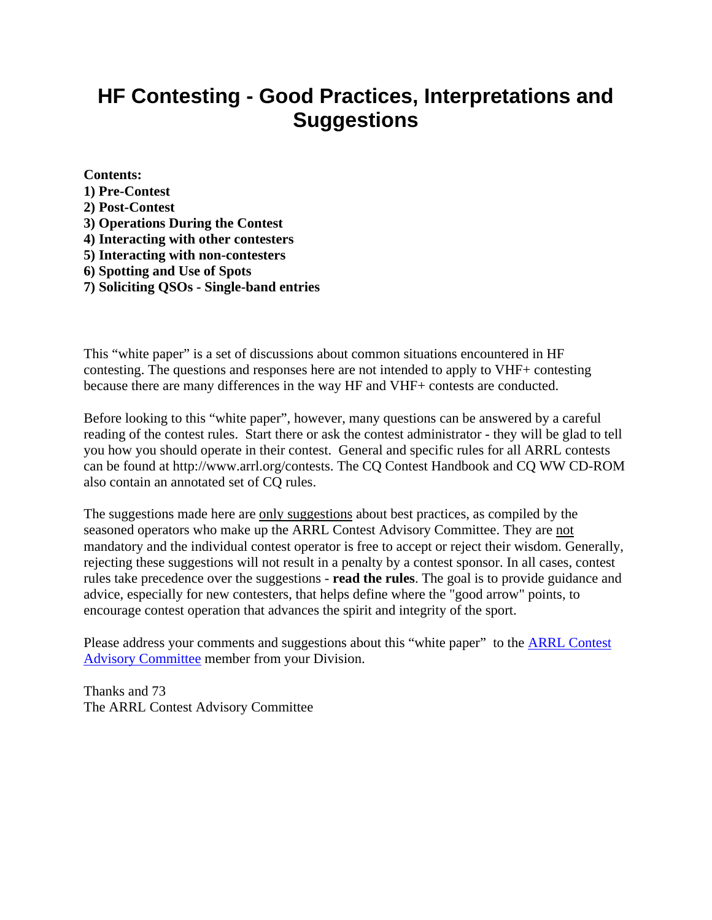# **HF Contesting - Good Practices, Interpretations and Suggestions**

**Contents: 1) Pre-Contest 2) Post-Contest 3) Operations During the Contest 4) Interacting with other contesters 5) Interacting with non-contesters 6) Spotting and Use of Spots** 

**7) Soliciting QSOs - Single-band entries** 

This "white paper" is a set of discussions about common situations encountered in HF contesting. The questions and responses here are not intended to apply to VHF+ contesting because there are many differences in the way HF and VHF+ contests are conducted.

Before looking to this "white paper", however, many questions can be answered by a careful reading of the contest rules. Start there or ask the contest administrator - they will be glad to tell you how you should operate in their contest. General and specific rules for all ARRL contests can be found at http://www.arrl.org/contests. The CQ Contest Handbook and CQ WW CD-ROM also contain an annotated set of CQ rules.

The suggestions made here are only suggestions about best practices, as compiled by the seasoned operators who make up the ARRL Contest Advisory Committee. They are not mandatory and the individual contest operator is free to accept or reject their wisdom. Generally, rejecting these suggestions will not result in a penalty by a contest sponsor. In all cases, contest rules take precedence over the suggestions - **read the rules**. The goal is to provide guidance and advice, especially for new contesters, that helps define where the "good arrow" points, to encourage contest operation that advances the spirit and integrity of the sport.

Please address your comments and suggestions about this "white paper" to the **ARRL Contest** [Advisory Committee](http://www.arrl.org/contests/cac.html) member from your Division.

Thanks and 73 The ARRL Contest Advisory Committee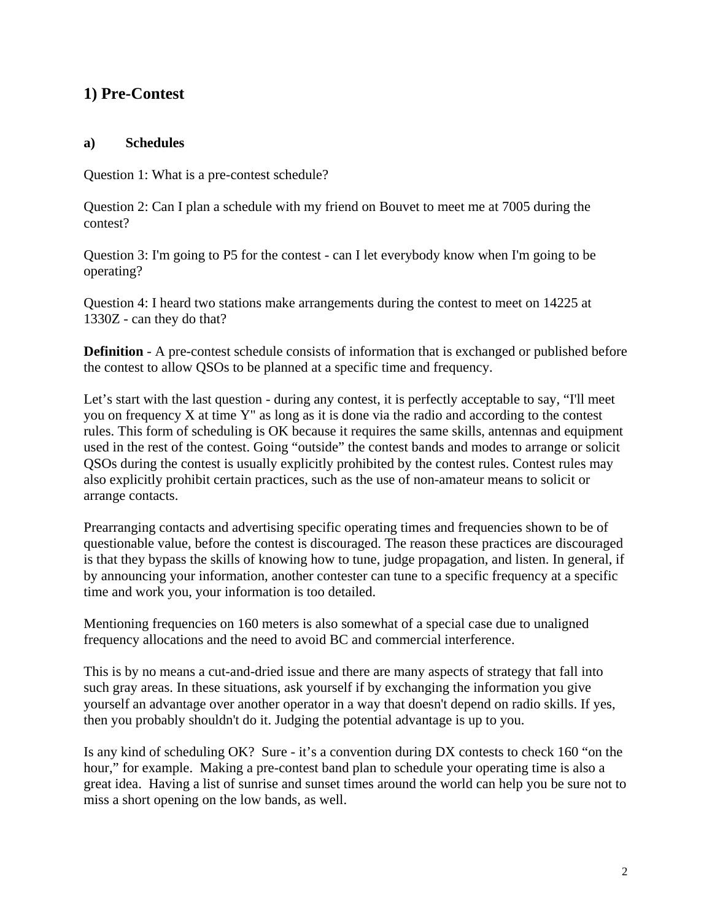# **1) Pre-Contest**

#### **a) Schedules**

Question 1: What is a pre-contest schedule?

Question 2: Can I plan a schedule with my friend on Bouvet to meet me at 7005 during the contest?

Question 3: I'm going to P5 for the contest - can I let everybody know when I'm going to be operating?

Question 4: I heard two stations make arrangements during the contest to meet on 14225 at 1330Z - can they do that?

**Definition** - A pre-contest schedule consists of information that is exchanged or published before the contest to allow QSOs to be planned at a specific time and frequency.

Let's start with the last question - during any contest, it is perfectly acceptable to say, "I'll meet you on frequency X at time Y" as long as it is done via the radio and according to the contest rules. This form of scheduling is OK because it requires the same skills, antennas and equipment used in the rest of the contest. Going "outside" the contest bands and modes to arrange or solicit QSOs during the contest is usually explicitly prohibited by the contest rules. Contest rules may also explicitly prohibit certain practices, such as the use of non-amateur means to solicit or arrange contacts.

Prearranging contacts and advertising specific operating times and frequencies shown to be of questionable value, before the contest is discouraged. The reason these practices are discouraged is that they bypass the skills of knowing how to tune, judge propagation, and listen. In general, if by announcing your information, another contester can tune to a specific frequency at a specific time and work you, your information is too detailed.

Mentioning frequencies on 160 meters is also somewhat of a special case due to unaligned frequency allocations and the need to avoid BC and commercial interference.

This is by no means a cut-and-dried issue and there are many aspects of strategy that fall into such gray areas. In these situations, ask yourself if by exchanging the information you give yourself an advantage over another operator in a way that doesn't depend on radio skills. If yes, then you probably shouldn't do it. Judging the potential advantage is up to you.

Is any kind of scheduling OK? Sure - it's a convention during DX contests to check 160 "on the hour," for example. Making a pre-contest band plan to schedule your operating time is also a great idea. Having a list of sunrise and sunset times around the world can help you be sure not to miss a short opening on the low bands, as well.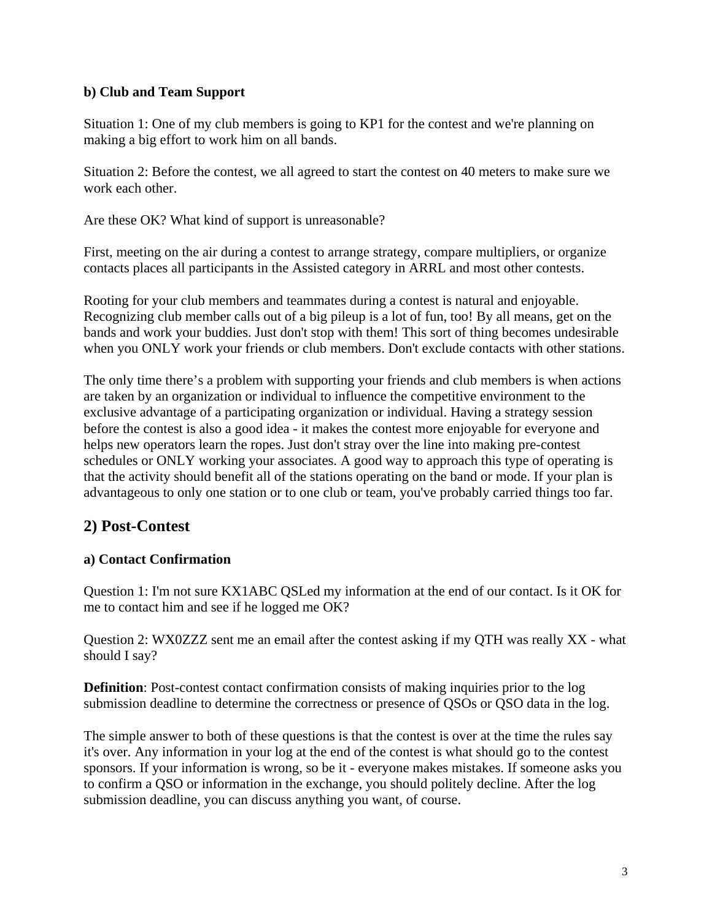#### **b) Club and Team Support**

Situation 1: One of my club members is going to KP1 for the contest and we're planning on making a big effort to work him on all bands.

Situation 2: Before the contest, we all agreed to start the contest on 40 meters to make sure we work each other.

Are these OK? What kind of support is unreasonable?

First, meeting on the air during a contest to arrange strategy, compare multipliers, or organize contacts places all participants in the Assisted category in ARRL and most other contests.

Rooting for your club members and teammates during a contest is natural and enjoyable. Recognizing club member calls out of a big pileup is a lot of fun, too! By all means, get on the bands and work your buddies. Just don't stop with them! This sort of thing becomes undesirable when you ONLY work your friends or club members. Don't exclude contacts with other stations.

The only time there's a problem with supporting your friends and club members is when actions are taken by an organization or individual to influence the competitive environment to the exclusive advantage of a participating organization or individual. Having a strategy session before the contest is also a good idea - it makes the contest more enjoyable for everyone and helps new operators learn the ropes. Just don't stray over the line into making pre-contest schedules or ONLY working your associates. A good way to approach this type of operating is that the activity should benefit all of the stations operating on the band or mode. If your plan is advantageous to only one station or to one club or team, you've probably carried things too far.

# **2) Post-Contest**

#### **a) Contact Confirmation**

Question 1: I'm not sure KX1ABC QSLed my information at the end of our contact. Is it OK for me to contact him and see if he logged me OK?

Question 2: WX0ZZZ sent me an email after the contest asking if my QTH was really XX - what should I say?

**Definition**: Post-contest contact confirmation consists of making inquiries prior to the log submission deadline to determine the correctness or presence of QSOs or QSO data in the log.

The simple answer to both of these questions is that the contest is over at the time the rules say it's over. Any information in your log at the end of the contest is what should go to the contest sponsors. If your information is wrong, so be it - everyone makes mistakes. If someone asks you to confirm a QSO or information in the exchange, you should politely decline. After the log submission deadline, you can discuss anything you want, of course.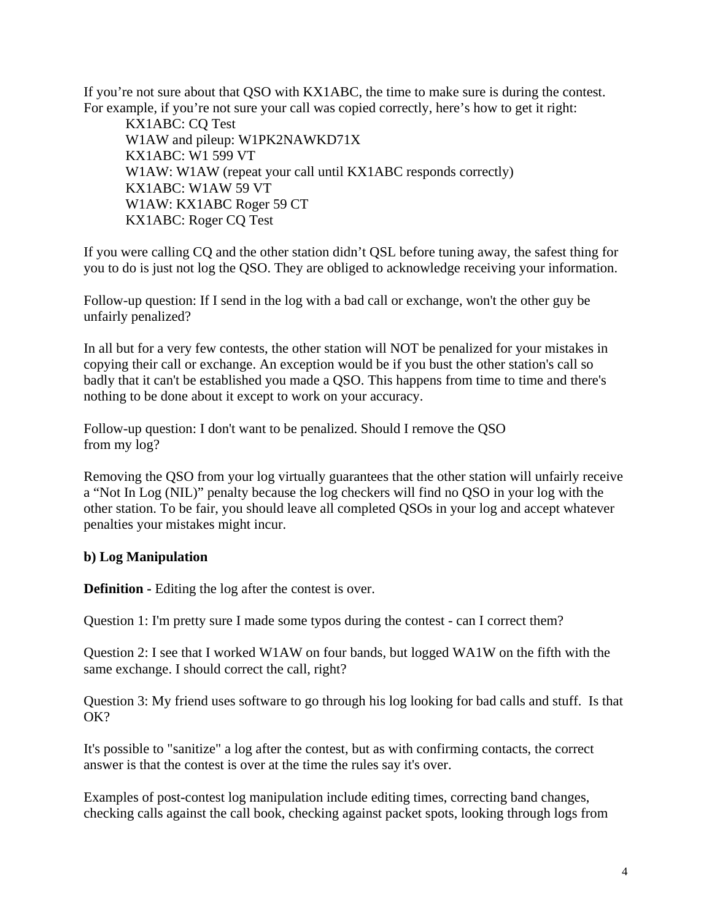If you're not sure about that QSO with KX1ABC, the time to make sure is during the contest. For example, if you're not sure your call was copied correctly, here's how to get it right:

 KX1ABC: CQ Test W1AW and pileup: W1PK2NAWKD71X KX1ABC: W1 599 VT W1AW: W1AW (repeat your call until KX1ABC responds correctly) KX1ABC: W1AW 59 VT W1AW: KX1ABC Roger 59 CT KX1ABC: Roger CQ Test

If you were calling CQ and the other station didn't QSL before tuning away, the safest thing for you to do is just not log the QSO. They are obliged to acknowledge receiving your information.

Follow-up question: If I send in the log with a bad call or exchange, won't the other guy be unfairly penalized?

In all but for a very few contests, the other station will NOT be penalized for your mistakes in copying their call or exchange. An exception would be if you bust the other station's call so badly that it can't be established you made a QSO. This happens from time to time and there's nothing to be done about it except to work on your accuracy.

Follow-up question: I don't want to be penalized. Should I remove the QSO from my log?

Removing the QSO from your log virtually guarantees that the other station will unfairly receive a "Not In Log (NIL)" penalty because the log checkers will find no QSO in your log with the other station. To be fair, you should leave all completed QSOs in your log and accept whatever penalties your mistakes might incur.

#### **b) Log Manipulation**

**Definition - Editing the log after the contest is over.** 

Question 1: I'm pretty sure I made some typos during the contest - can I correct them?

Question 2: I see that I worked W1AW on four bands, but logged WA1W on the fifth with the same exchange. I should correct the call, right?

Question 3: My friend uses software to go through his log looking for bad calls and stuff. Is that OK?

It's possible to "sanitize" a log after the contest, but as with confirming contacts, the correct answer is that the contest is over at the time the rules say it's over.

Examples of post-contest log manipulation include editing times, correcting band changes, checking calls against the call book, checking against packet spots, looking through logs from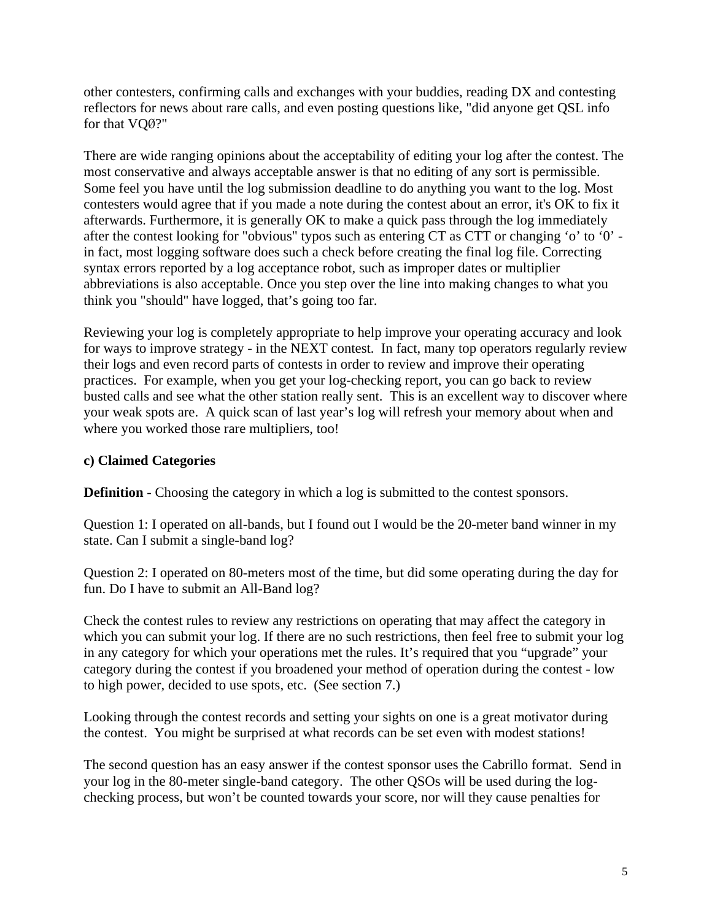other contesters, confirming calls and exchanges with your buddies, reading DX and contesting reflectors for news about rare calls, and even posting questions like, "did anyone get QSL info for that VQØ?"

There are wide ranging opinions about the acceptability of editing your log after the contest. The most conservative and always acceptable answer is that no editing of any sort is permissible. Some feel you have until the log submission deadline to do anything you want to the log. Most contesters would agree that if you made a note during the contest about an error, it's OK to fix it afterwards. Furthermore, it is generally OK to make a quick pass through the log immediately after the contest looking for "obvious" typos such as entering CT as CTT or changing 'o' to '0' in fact, most logging software does such a check before creating the final log file. Correcting syntax errors reported by a log acceptance robot, such as improper dates or multiplier abbreviations is also acceptable. Once you step over the line into making changes to what you think you "should" have logged, that's going too far.

Reviewing your log is completely appropriate to help improve your operating accuracy and look for ways to improve strategy - in the NEXT contest. In fact, many top operators regularly review their logs and even record parts of contests in order to review and improve their operating practices. For example, when you get your log-checking report, you can go back to review busted calls and see what the other station really sent. This is an excellent way to discover where your weak spots are. A quick scan of last year's log will refresh your memory about when and where you worked those rare multipliers, too!

#### **c) Claimed Categories**

**Definition** - Choosing the category in which a log is submitted to the contest sponsors.

Question 1: I operated on all-bands, but I found out I would be the 20-meter band winner in my state. Can I submit a single-band log?

Question 2: I operated on 80-meters most of the time, but did some operating during the day for fun. Do I have to submit an All-Band log?

Check the contest rules to review any restrictions on operating that may affect the category in which you can submit your log. If there are no such restrictions, then feel free to submit your log in any category for which your operations met the rules. It's required that you "upgrade" your category during the contest if you broadened your method of operation during the contest - low to high power, decided to use spots, etc. (See section 7.)

Looking through the contest records and setting your sights on one is a great motivator during the contest. You might be surprised at what records can be set even with modest stations!

The second question has an easy answer if the contest sponsor uses the Cabrillo format. Send in your log in the 80-meter single-band category. The other QSOs will be used during the logchecking process, but won't be counted towards your score, nor will they cause penalties for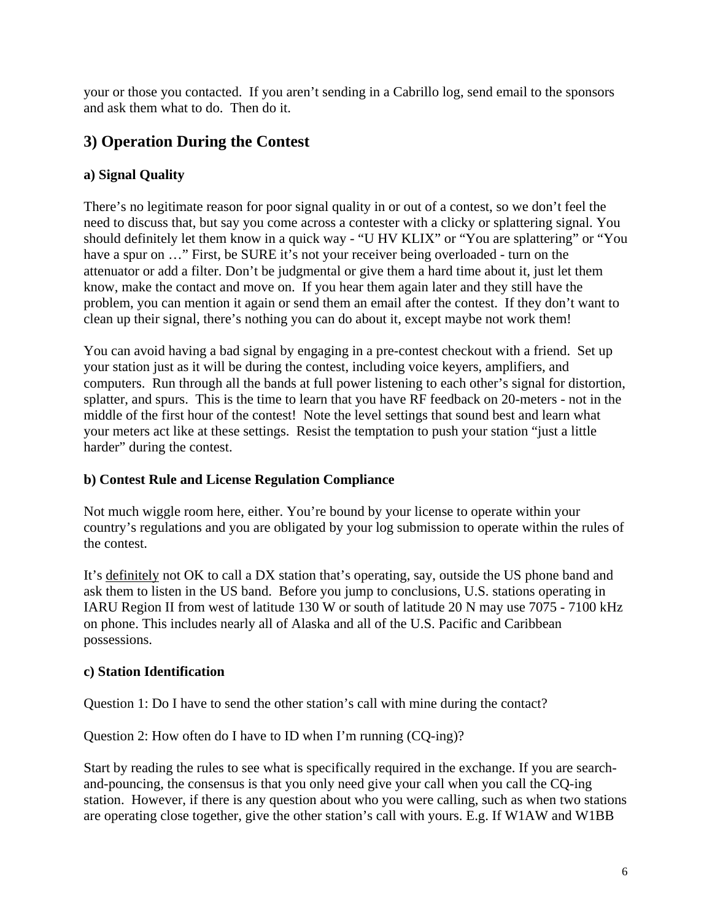your or those you contacted. If you aren't sending in a Cabrillo log, send email to the sponsors and ask them what to do. Then do it.

# **3) Operation During the Contest**

## **a) Signal Quality**

There's no legitimate reason for poor signal quality in or out of a contest, so we don't feel the need to discuss that, but say you come across a contester with a clicky or splattering signal. You should definitely let them know in a quick way - "U HV KLIX" or "You are splattering" or "You have a spur on ..." First, be SURE it's not your receiver being overloaded - turn on the attenuator or add a filter. Don't be judgmental or give them a hard time about it, just let them know, make the contact and move on. If you hear them again later and they still have the problem, you can mention it again or send them an email after the contest. If they don't want to clean up their signal, there's nothing you can do about it, except maybe not work them!

You can avoid having a bad signal by engaging in a pre-contest checkout with a friend. Set up your station just as it will be during the contest, including voice keyers, amplifiers, and computers. Run through all the bands at full power listening to each other's signal for distortion, splatter, and spurs. This is the time to learn that you have RF feedback on 20-meters - not in the middle of the first hour of the contest! Note the level settings that sound best and learn what your meters act like at these settings. Resist the temptation to push your station "just a little harder" during the contest.

#### **b) Contest Rule and License Regulation Compliance**

Not much wiggle room here, either. You're bound by your license to operate within your country's regulations and you are obligated by your log submission to operate within the rules of the contest.

It's definitely not OK to call a DX station that's operating, say, outside the US phone band and ask them to listen in the US band. Before you jump to conclusions, U.S. stations operating in IARU Region II from west of latitude 130 W or south of latitude 20 N may use 7075 - 7100 kHz on phone. This includes nearly all of Alaska and all of the U.S. Pacific and Caribbean possessions.

## **c) Station Identification**

Question 1: Do I have to send the other station's call with mine during the contact?

Question 2: How often do I have to ID when I'm running (CQ-ing)?

Start by reading the rules to see what is specifically required in the exchange. If you are searchand-pouncing, the consensus is that you only need give your call when you call the CQ-ing station. However, if there is any question about who you were calling, such as when two stations are operating close together, give the other station's call with yours. E.g. If W1AW and W1BB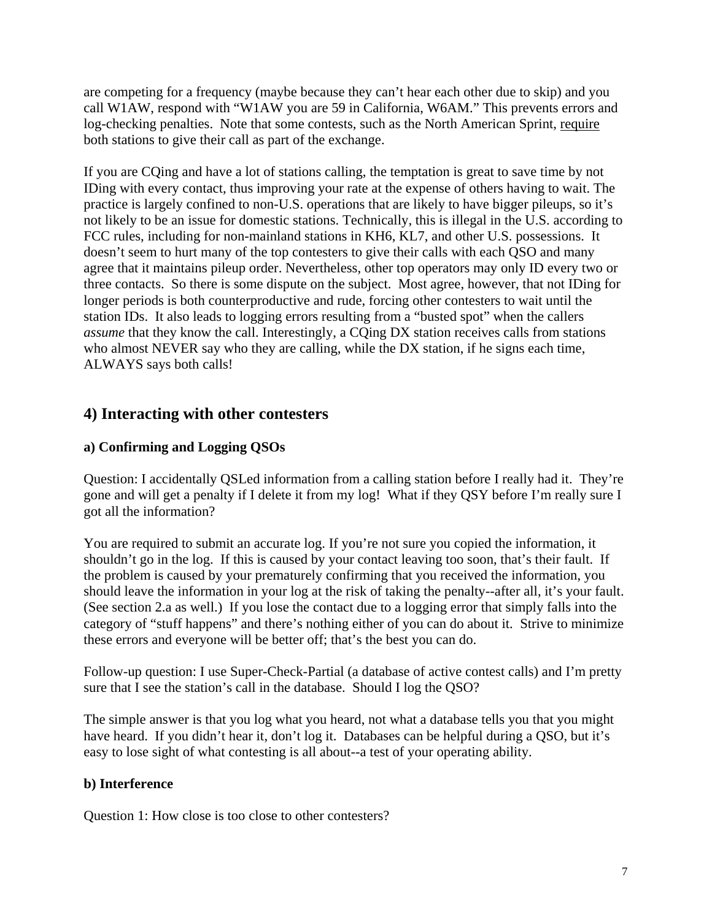are competing for a frequency (maybe because they can't hear each other due to skip) and you call W1AW, respond with "W1AW you are 59 in California, W6AM." This prevents errors and log-checking penalties. Note that some contests, such as the North American Sprint, require both stations to give their call as part of the exchange.

If you are CQing and have a lot of stations calling, the temptation is great to save time by not IDing with every contact, thus improving your rate at the expense of others having to wait. The practice is largely confined to non-U.S. operations that are likely to have bigger pileups, so it's not likely to be an issue for domestic stations. Technically, this is illegal in the U.S. according to FCC rules, including for non-mainland stations in KH6, KL7, and other U.S. possessions. It doesn't seem to hurt many of the top contesters to give their calls with each QSO and many agree that it maintains pileup order. Nevertheless, other top operators may only ID every two or three contacts. So there is some dispute on the subject. Most agree, however, that not IDing for longer periods is both counterproductive and rude, forcing other contesters to wait until the station IDs. It also leads to logging errors resulting from a "busted spot" when the callers *assume* that they know the call. Interestingly, a CQing DX station receives calls from stations who almost NEVER say who they are calling, while the DX station, if he signs each time, ALWAYS says both calls!

# **4) Interacting with other contesters**

## **a) Confirming and Logging QSOs**

Question: I accidentally QSLed information from a calling station before I really had it. They're gone and will get a penalty if I delete it from my log! What if they QSY before I'm really sure I got all the information?

You are required to submit an accurate log. If you're not sure you copied the information, it shouldn't go in the log. If this is caused by your contact leaving too soon, that's their fault. If the problem is caused by your prematurely confirming that you received the information, you should leave the information in your log at the risk of taking the penalty--after all, it's your fault. (See section 2.a as well.) If you lose the contact due to a logging error that simply falls into the category of "stuff happens" and there's nothing either of you can do about it. Strive to minimize these errors and everyone will be better off; that's the best you can do.

Follow-up question: I use Super-Check-Partial (a database of active contest calls) and I'm pretty sure that I see the station's call in the database. Should I log the QSO?

The simple answer is that you log what you heard, not what a database tells you that you might have heard. If you didn't hear it, don't log it. Databases can be helpful during a OSO, but it's easy to lose sight of what contesting is all about--a test of your operating ability.

#### **b) Interference**

Question 1: How close is too close to other contesters?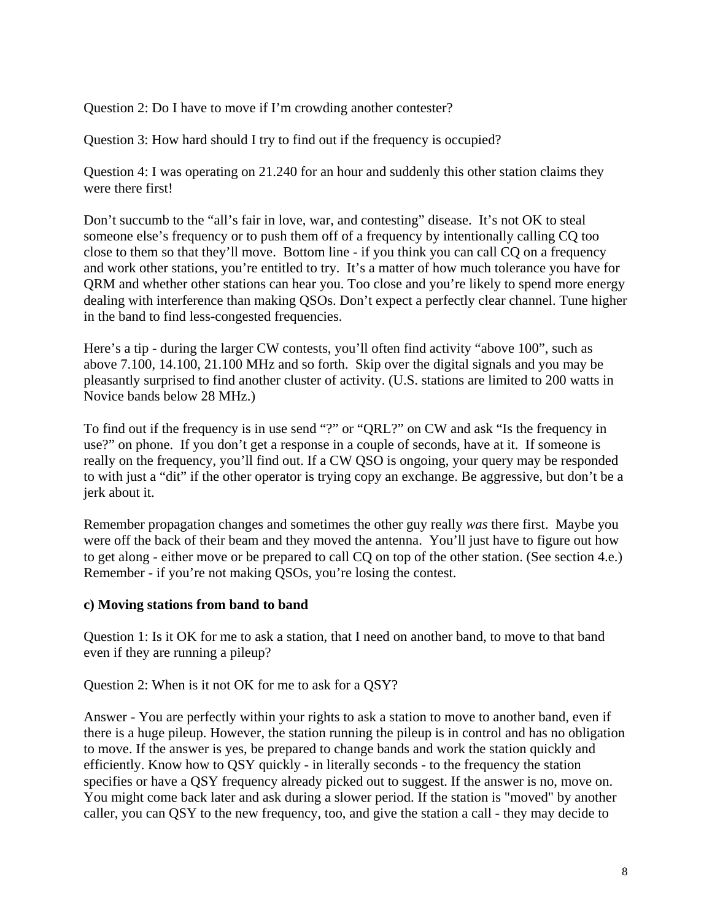Question 2: Do I have to move if I'm crowding another contester?

Question 3: How hard should I try to find out if the frequency is occupied?

Question 4: I was operating on 21.240 for an hour and suddenly this other station claims they were there first!

Don't succumb to the "all's fair in love, war, and contesting" disease. It's not OK to steal someone else's frequency or to push them off of a frequency by intentionally calling CQ too close to them so that they'll move. Bottom line - if you think you can call CQ on a frequency and work other stations, you're entitled to try. It's a matter of how much tolerance you have for QRM and whether other stations can hear you. Too close and you're likely to spend more energy dealing with interference than making QSOs. Don't expect a perfectly clear channel. Tune higher in the band to find less-congested frequencies.

Here's a tip - during the larger CW contests, you'll often find activity "above 100", such as above 7.100, 14.100, 21.100 MHz and so forth. Skip over the digital signals and you may be pleasantly surprised to find another cluster of activity. (U.S. stations are limited to 200 watts in Novice bands below 28 MHz.)

To find out if the frequency is in use send "?" or "QRL?" on CW and ask "Is the frequency in use?" on phone. If you don't get a response in a couple of seconds, have at it. If someone is really on the frequency, you'll find out. If a CW QSO is ongoing, your query may be responded to with just a "dit" if the other operator is trying copy an exchange. Be aggressive, but don't be a jerk about it.

Remember propagation changes and sometimes the other guy really *was* there first. Maybe you were off the back of their beam and they moved the antenna. You'll just have to figure out how to get along - either move or be prepared to call CQ on top of the other station. (See section 4.e.) Remember - if you're not making QSOs, you're losing the contest.

#### **c) Moving stations from band to band**

Question 1: Is it OK for me to ask a station, that I need on another band, to move to that band even if they are running a pileup?

Question 2: When is it not OK for me to ask for a QSY?

Answer - You are perfectly within your rights to ask a station to move to another band, even if there is a huge pileup. However, the station running the pileup is in control and has no obligation to move. If the answer is yes, be prepared to change bands and work the station quickly and efficiently. Know how to QSY quickly - in literally seconds - to the frequency the station specifies or have a QSY frequency already picked out to suggest. If the answer is no, move on. You might come back later and ask during a slower period. If the station is "moved" by another caller, you can QSY to the new frequency, too, and give the station a call - they may decide to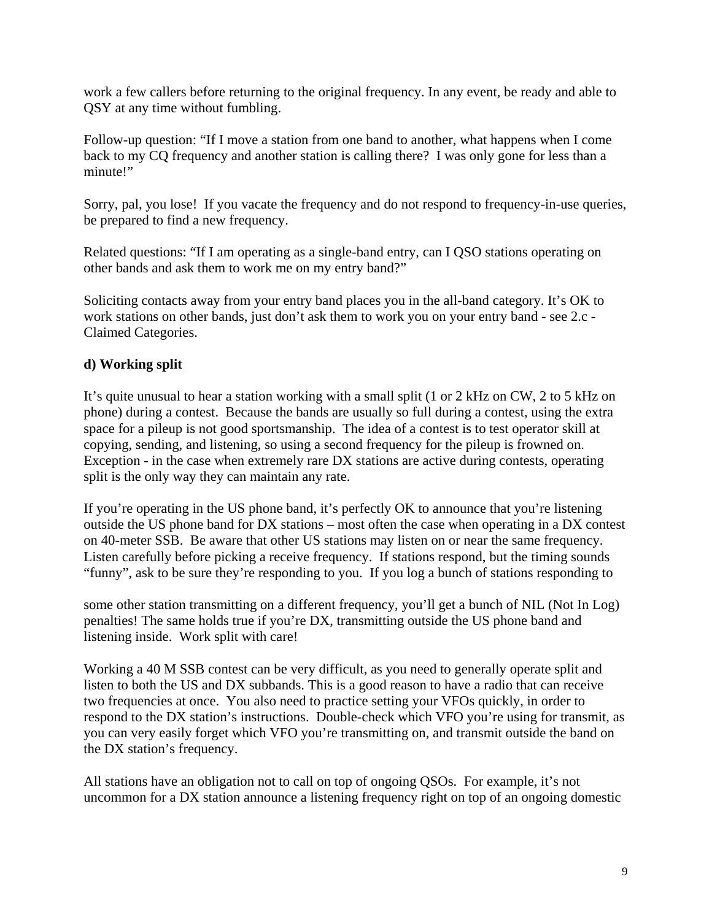work a few callers before returning to the original frequency. In any event, be ready and able to QSY at any time without fumbling.

Follow-up question: "If I move a station from one band to another, what happens when I come back to my CQ frequency and another station is calling there? I was only gone for less than a minute!"

Sorry, pal, you lose! If you vacate the frequency and do not respond to frequency-in-use queries, be prepared to find a new frequency.

Related questions: "If I am operating as a single-band entry, can I QSO stations operating on other bands and ask them to work me on my entry band?"

Soliciting contacts away from your entry band places you in the all-band category. It's OK to work stations on other bands, just don't ask them to work you on your entry band - see 2.c - Claimed Categories.

## **d) Working split**

It's quite unusual to hear a station working with a small split (1 or 2 kHz on CW, 2 to 5 kHz on phone) during a contest. Because the bands are usually so full during a contest, using the extra space for a pileup is not good sportsmanship. The idea of a contest is to test operator skill at copying, sending, and listening, so using a second frequency for the pileup is frowned on. Exception - in the case when extremely rare DX stations are active during contests, operating split is the only way they can maintain any rate.

If you're operating in the US phone band, it's perfectly OK to announce that you're listening outside the US phone band for DX stations – most often the case when operating in a DX contest on 40-meter SSB. Be aware that other US stations may listen on or near the same frequency. Listen carefully before picking a receive frequency. If stations respond, but the timing sounds "funny", ask to be sure they're responding to you. If you log a bunch of stations responding to

some other station transmitting on a different frequency, you'll get a bunch of NIL (Not In Log) penalties! The same holds true if you're DX, transmitting outside the US phone band and listening inside. Work split with care!

Working a 40 M SSB contest can be very difficult, as you need to generally operate split and listen to both the US and DX subbands. This is a good reason to have a radio that can receive two frequencies at once. You also need to practice setting your VFOs quickly, in order to respond to the DX station's instructions. Double-check which VFO you're using for transmit, as you can very easily forget which VFO you're transmitting on, and transmit outside the band on the DX station's frequency.

All stations have an obligation not to call on top of ongoing QSOs. For example, it's not uncommon for a DX station announce a listening frequency right on top of an ongoing domestic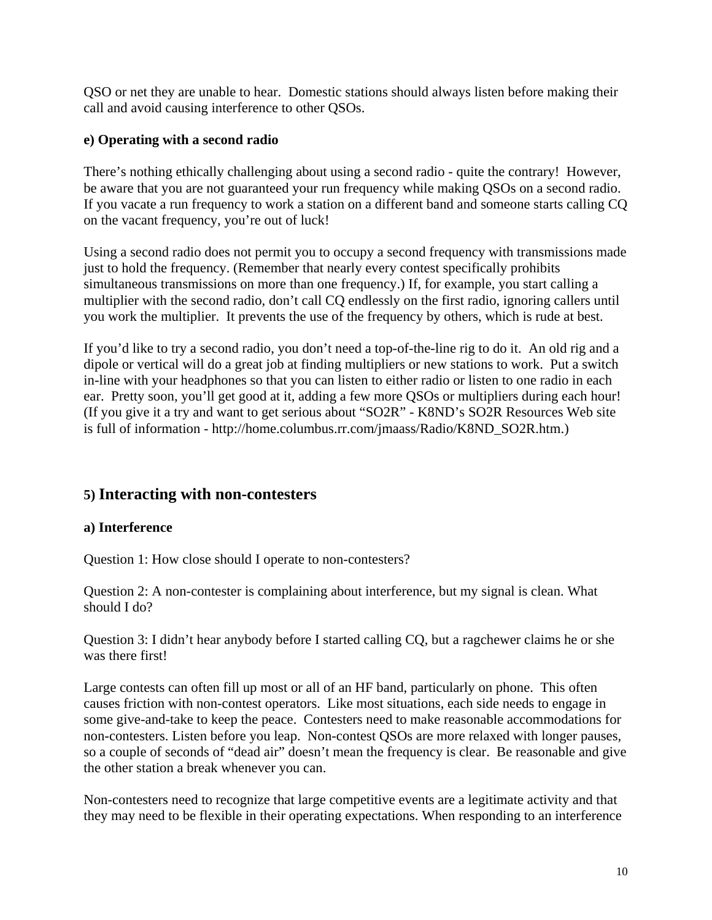QSO or net they are unable to hear. Domestic stations should always listen before making their call and avoid causing interference to other QSOs.

## **e) Operating with a second radio**

There's nothing ethically challenging about using a second radio - quite the contrary! However, be aware that you are not guaranteed your run frequency while making QSOs on a second radio. If you vacate a run frequency to work a station on a different band and someone starts calling CQ on the vacant frequency, you're out of luck!

Using a second radio does not permit you to occupy a second frequency with transmissions made just to hold the frequency. (Remember that nearly every contest specifically prohibits simultaneous transmissions on more than one frequency.) If, for example, you start calling a multiplier with the second radio, don't call CQ endlessly on the first radio, ignoring callers until you work the multiplier. It prevents the use of the frequency by others, which is rude at best.

If you'd like to try a second radio, you don't need a top-of-the-line rig to do it. An old rig and a dipole or vertical will do a great job at finding multipliers or new stations to work. Put a switch in-line with your headphones so that you can listen to either radio or listen to one radio in each ear. Pretty soon, you'll get good at it, adding a few more QSOs or multipliers during each hour! (If you give it a try and want to get serious about "SO2R" - K8ND's SO2R Resources Web site is full of information - http://home.columbus.rr.com/jmaass/Radio/K8ND\_SO2R.htm.)

# **5) Interacting with non-contesters**

#### **a) Interference**

Question 1: How close should I operate to non-contesters?

Question 2: A non-contester is complaining about interference, but my signal is clean. What should I do?

Question 3: I didn't hear anybody before I started calling CQ, but a ragchewer claims he or she was there first!

Large contests can often fill up most or all of an HF band, particularly on phone. This often causes friction with non-contest operators. Like most situations, each side needs to engage in some give-and-take to keep the peace. Contesters need to make reasonable accommodations for non-contesters. Listen before you leap. Non-contest QSOs are more relaxed with longer pauses, so a couple of seconds of "dead air" doesn't mean the frequency is clear. Be reasonable and give the other station a break whenever you can.

Non-contesters need to recognize that large competitive events are a legitimate activity and that they may need to be flexible in their operating expectations. When responding to an interference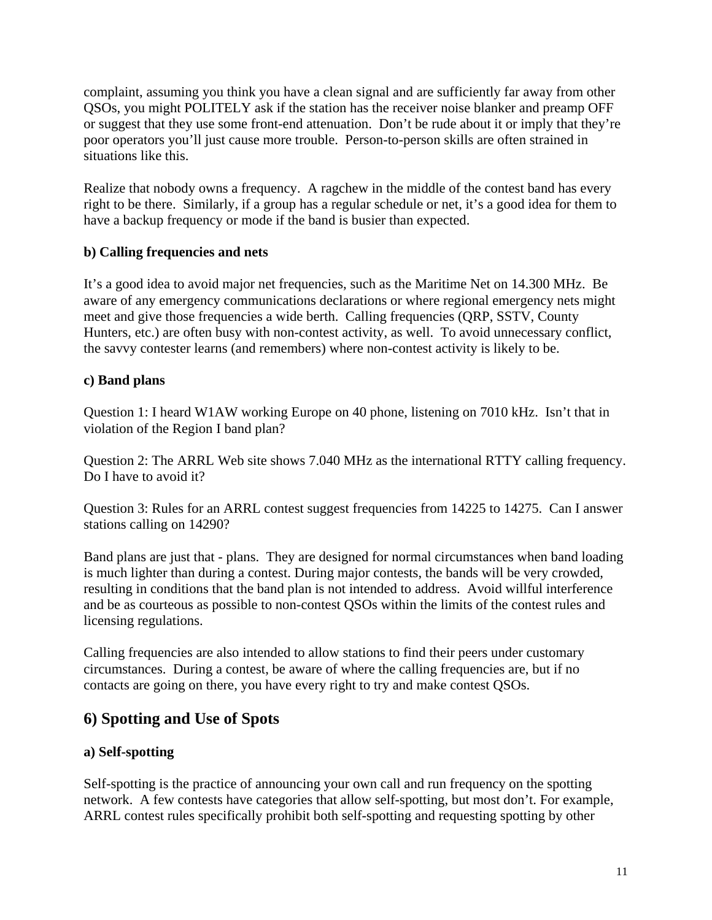complaint, assuming you think you have a clean signal and are sufficiently far away from other QSOs, you might POLITELY ask if the station has the receiver noise blanker and preamp OFF or suggest that they use some front-end attenuation. Don't be rude about it or imply that they're poor operators you'll just cause more trouble. Person-to-person skills are often strained in situations like this.

Realize that nobody owns a frequency. A ragchew in the middle of the contest band has every right to be there. Similarly, if a group has a regular schedule or net, it's a good idea for them to have a backup frequency or mode if the band is busier than expected.

## **b) Calling frequencies and nets**

It's a good idea to avoid major net frequencies, such as the Maritime Net on 14.300 MHz. Be aware of any emergency communications declarations or where regional emergency nets might meet and give those frequencies a wide berth. Calling frequencies (QRP, SSTV, County Hunters, etc.) are often busy with non-contest activity, as well. To avoid unnecessary conflict, the savvy contester learns (and remembers) where non-contest activity is likely to be.

#### **c) Band plans**

Question 1: I heard W1AW working Europe on 40 phone, listening on 7010 kHz. Isn't that in violation of the Region I band plan?

Question 2: The ARRL Web site shows 7.040 MHz as the international RTTY calling frequency. Do I have to avoid it?

Question 3: Rules for an ARRL contest suggest frequencies from 14225 to 14275. Can I answer stations calling on 14290?

Band plans are just that - plans. They are designed for normal circumstances when band loading is much lighter than during a contest. During major contests, the bands will be very crowded, resulting in conditions that the band plan is not intended to address. Avoid willful interference and be as courteous as possible to non-contest QSOs within the limits of the contest rules and licensing regulations.

Calling frequencies are also intended to allow stations to find their peers under customary circumstances. During a contest, be aware of where the calling frequencies are, but if no contacts are going on there, you have every right to try and make contest QSOs.

# **6) Spotting and Use of Spots**

#### **a) Self-spotting**

Self-spotting is the practice of announcing your own call and run frequency on the spotting network. A few contests have categories that allow self-spotting, but most don't. For example, ARRL contest rules specifically prohibit both self-spotting and requesting spotting by other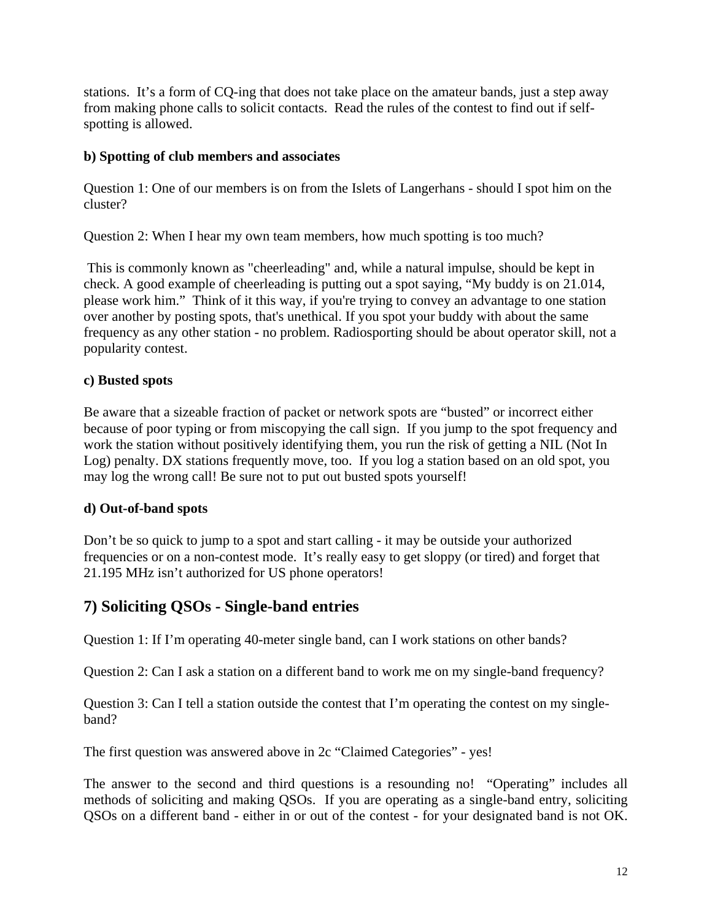stations. It's a form of CQ-ing that does not take place on the amateur bands, just a step away from making phone calls to solicit contacts. Read the rules of the contest to find out if selfspotting is allowed.

#### **b) Spotting of club members and associates**

Question 1: One of our members is on from the Islets of Langerhans - should I spot him on the cluster?

Question 2: When I hear my own team members, how much spotting is too much?

 This is commonly known as "cheerleading" and, while a natural impulse, should be kept in check. A good example of cheerleading is putting out a spot saying, "My buddy is on 21.014, please work him." Think of it this way, if you're trying to convey an advantage to one station over another by posting spots, that's unethical. If you spot your buddy with about the same frequency as any other station - no problem. Radiosporting should be about operator skill, not a popularity contest.

#### **c) Busted spots**

Be aware that a sizeable fraction of packet or network spots are "busted" or incorrect either because of poor typing or from miscopying the call sign. If you jump to the spot frequency and work the station without positively identifying them, you run the risk of getting a NIL (Not In Log) penalty. DX stations frequently move, too. If you log a station based on an old spot, you may log the wrong call! Be sure not to put out busted spots yourself!

#### **d) Out-of-band spots**

Don't be so quick to jump to a spot and start calling - it may be outside your authorized frequencies or on a non-contest mode. It's really easy to get sloppy (or tired) and forget that 21.195 MHz isn't authorized for US phone operators!

# **7) Soliciting QSOs - Single-band entries**

Question 1: If I'm operating 40-meter single band, can I work stations on other bands?

Question 2: Can I ask a station on a different band to work me on my single-band frequency?

Question 3: Can I tell a station outside the contest that I'm operating the contest on my singleband?

The first question was answered above in 2c "Claimed Categories" - yes!

The answer to the second and third questions is a resounding no! "Operating" includes all methods of soliciting and making QSOs. If you are operating as a single-band entry, soliciting QSOs on a different band - either in or out of the contest - for your designated band is not OK.